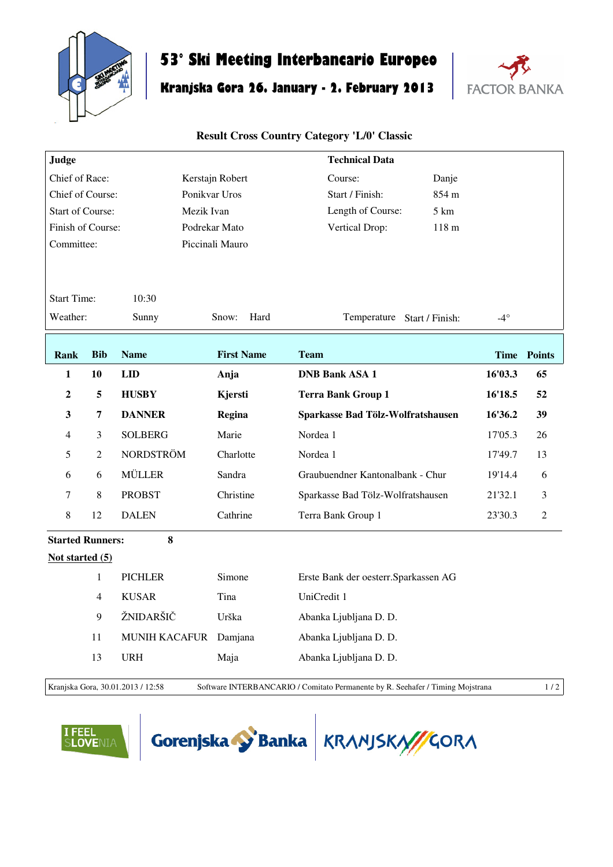

## **53° Ski Meeting Interbancario Europeo**

## **Kranjska Gora 26. January - 2. February 2013**



## **Result Cross Country Category 'L/0' Classic**

| Judge                                 |                |                      |                   | <b>Technical Data</b>                 |            |                    |  |  |  |
|---------------------------------------|----------------|----------------------|-------------------|---------------------------------------|------------|--------------------|--|--|--|
| Chief of Race:                        |                |                      | Kerstajn Robert   | Danje<br>Course:                      |            |                    |  |  |  |
| Chief of Course:                      |                |                      | Ponikvar Uros     | 854 m<br>Start / Finish:              |            |                    |  |  |  |
| <b>Start of Course:</b><br>Mezik Ivan |                |                      |                   | Length of Course:<br>5 km             |            |                    |  |  |  |
| Finish of Course:<br>Podrekar Mato    |                |                      |                   | Vertical Drop:<br>118 <sub>m</sub>    |            |                    |  |  |  |
| Committee:                            |                |                      | Piccinali Mauro   |                                       |            |                    |  |  |  |
|                                       |                |                      |                   |                                       |            |                    |  |  |  |
| <b>Start Time:</b><br>10:30           |                |                      |                   |                                       |            |                    |  |  |  |
| Weather:                              |                | Sunny                | Snow:<br>Hard     | Temperature Start / Finish:           | $-4^\circ$ |                    |  |  |  |
|                                       |                |                      |                   |                                       |            |                    |  |  |  |
| <b>Rank</b>                           | <b>Bib</b>     | <b>Name</b>          | <b>First Name</b> | <b>Team</b>                           |            | <b>Time Points</b> |  |  |  |
| $\mathbf{1}$                          | 10             | LID                  | Anja              | <b>DNB Bank ASA 1</b>                 | 16'03.3    | 65                 |  |  |  |
| $\boldsymbol{2}$                      | 5              | <b>HUSBY</b>         | Kjersti           | <b>Terra Bank Group 1</b>             | 16'18.5    | 52                 |  |  |  |
| 3                                     | 7              | <b>DANNER</b>        | Regina            | Sparkasse Bad Tölz-Wolfratshausen     | 16'36.2    | 39                 |  |  |  |
| $\overline{4}$                        | 3              | <b>SOLBERG</b>       | Marie             | Nordea 1                              | 17'05.3    | 26                 |  |  |  |
| 5                                     | $\overline{2}$ | <b>NORDSTRÖM</b>     | Charlotte         | Nordea 1                              | 17'49.7    | 13                 |  |  |  |
| 6                                     | 6              | <b>MÜLLER</b>        | Sandra            | Graubuendner Kantonalbank - Chur      | 19'14.4    | 6                  |  |  |  |
| $\tau$                                | $\,8\,$        | <b>PROBST</b>        | Christine         | Sparkasse Bad Tölz-Wolfratshausen     | 21'32.1    | 3                  |  |  |  |
| 8                                     | 12             | <b>DALEN</b>         | Cathrine          | Terra Bank Group 1                    | 23'30.3    | $\mathbf{2}$       |  |  |  |
| 8<br><b>Started Runners:</b>          |                |                      |                   |                                       |            |                    |  |  |  |
| Not started (5)                       |                |                      |                   |                                       |            |                    |  |  |  |
|                                       | $\mathbf{1}$   | <b>PICHLER</b>       | Simone            | Erste Bank der oesterr. Sparkassen AG |            |                    |  |  |  |
|                                       | $\overline{4}$ | <b>KUSAR</b>         | Tina              | UniCredit 1                           |            |                    |  |  |  |
|                                       | 9              | ŽNIDARŠIČ            | Urška             | Abanka Ljubljana D. D.                |            |                    |  |  |  |
|                                       | 11             | <b>MUNIH KACAFUR</b> | Damjana           | Abanka Ljubljana D. D.                |            |                    |  |  |  |
|                                       | 13             | <b>URH</b>           | Maja              | Abanka Ljubljana D. D.                |            |                    |  |  |  |
|                                       |                |                      |                   |                                       |            |                    |  |  |  |

Kranjska Gora, 30.01.2013 / 12:58 Software INTERBANCARIO / Comitato Permanente by R. Seehafer / Timing Mojstrana 1 / 2